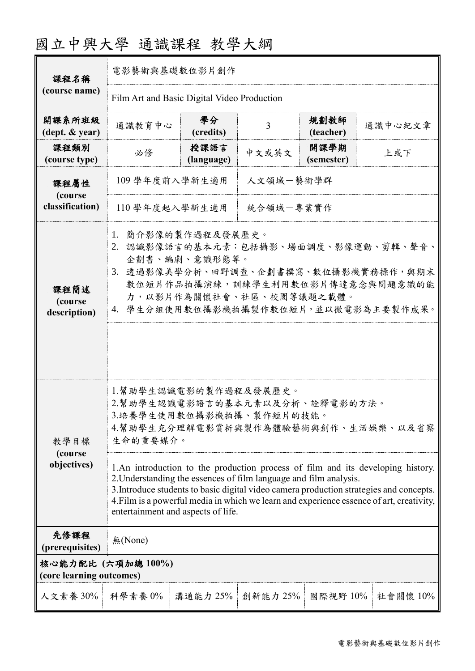| 課程名稱                                           | 電影藝術與基礎數位影片創作                                                                                                                                                                                                                                                                                                                                                                     |                    |          |                    |          |  |
|------------------------------------------------|-----------------------------------------------------------------------------------------------------------------------------------------------------------------------------------------------------------------------------------------------------------------------------------------------------------------------------------------------------------------------------------|--------------------|----------|--------------------|----------|--|
| (course name)                                  | Film Art and Basic Digital Video Production                                                                                                                                                                                                                                                                                                                                       |                    |          |                    |          |  |
| 開課系所班級<br>$(\text{dept.} \& \text{ year})$     | 通識教育中心                                                                                                                                                                                                                                                                                                                                                                            | 學分<br>(credits)    | 3        | 規劃教師<br>(teacher)  | 通識中心紀文章  |  |
| 課程類別<br>(course type)                          | 必修                                                                                                                                                                                                                                                                                                                                                                                | 授課語言<br>(language) | 中文或英文    | 開課學期<br>(semester) | 上或下      |  |
| 課程屬性<br>(course<br>classification)             | 人文領域一藝術學群<br>109 學年度前入學新生適用                                                                                                                                                                                                                                                                                                                                                       |                    |          |                    |          |  |
|                                                | 統合領域一專業實作<br>110 學年度起入學新生適用                                                                                                                                                                                                                                                                                                                                                       |                    |          |                    |          |  |
| 課程簡述<br>(course<br>description)                | 簡介影像的製作過程及發展歷史。<br>1.<br>2. 認識影像語言的基本元素:包括攝影、場面調度、影像運動、剪輯、聲音、<br>企劃書、編劇、意識形態等。<br>3. 透過影像美學分析、田野調查、企劃書撰寫、數位攝影機實務操作,與期末<br>數位短片作品拍攝演練,訓練學生利用數位影片傳達意念與問題意識的能<br>力,以影片作為關懷社會、社區、校園等議題之載體。<br>4. 學生分組使用數位攝影機拍攝製作數位短片,並以微電影為主要製作成果。                                                                                                                                                    |                    |          |                    |          |  |
| 教學目標<br>(course<br>objectives)                 | 1.幫助學生認識電影的製作過程及發展歷史。<br>2.幫助學生認識電影語言的基本元素以及分析、詮釋電影的方法。<br>3.培養學生使用數位攝影機拍攝、製作短片的技能。<br>4.幫助學生充分理解電影賞析與製作為體驗藝術與創作、生活娛樂、以及省察<br>生命的重要媒介。                                                                                                                                                                                                                                            |                    |          |                    |          |  |
|                                                | 1.An introduction to the production process of film and its developing history.<br>2. Understanding the essences of film language and film analysis.<br>3. Introduce students to basic digital video camera production strategies and concepts.<br>4. Film is a powerful media in which we learn and experience essence of art, creativity,<br>entertainment and aspects of life. |                    |          |                    |          |  |
| 先修課程<br>(prerequisites)                        | 無(None)                                                                                                                                                                                                                                                                                                                                                                           |                    |          |                    |          |  |
| 核心能力配比 (六項加總 100%)<br>(core learning outcomes) |                                                                                                                                                                                                                                                                                                                                                                                   |                    |          |                    |          |  |
| 人文素養 30%                                       | 科學素養 0%                                                                                                                                                                                                                                                                                                                                                                           | 溝通能力 25%           | 創新能力 25% | 國際視野 10%           | 社會關懷 10% |  |

## 國立中興大學 通識課程 教學大綱